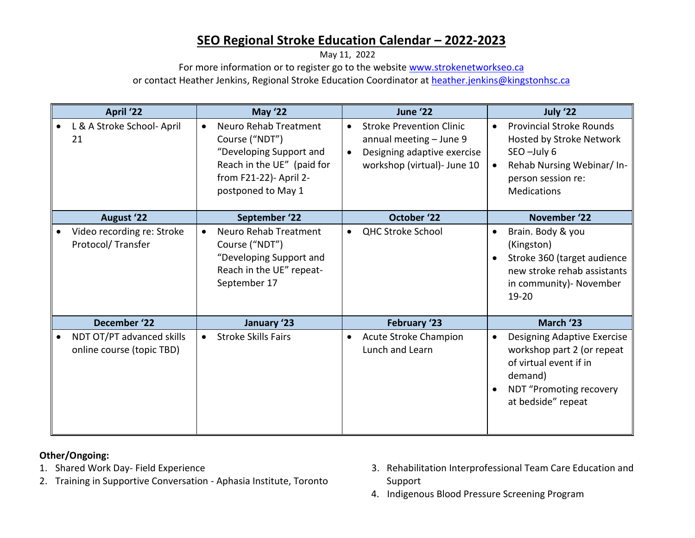## **SEO Regional Stroke Education Calendar – 2022-2023**

May 11, 2022

For more information or to register go to the website [www.strokenetworkseo.ca](http://www.strokenetworkseo.ca/)

or contact Heather Jenkins, Regional Stroke Education Coordinator at [heather.jenkins@kingstonhsc.ca](mailto:heather.jenkins@kingstonhsc.ca)

| April '22 |                                                        | <b>May '22</b> |                                                                                                                                                  | June '22               |                                                                                                                          | July '22 |                                                                                                                                                     |
|-----------|--------------------------------------------------------|----------------|--------------------------------------------------------------------------------------------------------------------------------------------------|------------------------|--------------------------------------------------------------------------------------------------------------------------|----------|-----------------------------------------------------------------------------------------------------------------------------------------------------|
|           | L & A Stroke School- April<br>21                       |                | Neuro Rehab Treatment<br>Course ("NDT")<br>"Developing Support and<br>Reach in the UE" (paid for<br>from F21-22)- April 2-<br>postponed to May 1 | $\bullet$<br>$\bullet$ | <b>Stroke Prevention Clinic</b><br>annual meeting - June 9<br>Designing adaptive exercise<br>workshop (virtual)- June 10 |          | <b>Provincial Stroke Rounds</b><br>Hosted by Stroke Network<br>SEO-July 6<br>Rehab Nursing Webinar/ In-<br>person session re:<br><b>Medications</b> |
|           | <b>August '22</b>                                      |                | September '22                                                                                                                                    |                        | October '22                                                                                                              |          | November '22                                                                                                                                        |
|           | Video recording re: Stroke<br>Protocol/Transfer        |                | Neuro Rehab Treatment<br>Course ("NDT")<br>"Developing Support and<br>Reach in the UE" repeat-<br>September 17                                   | $\bullet$              | <b>QHC Stroke School</b>                                                                                                 |          | Brain. Body & you<br>(Kingston)<br>Stroke 360 (target audience<br>new stroke rehab assistants<br>in community)- November<br>19-20                   |
|           | December '22                                           |                | January '23                                                                                                                                      |                        | February '23                                                                                                             |          | March '23                                                                                                                                           |
|           | NDT OT/PT advanced skills<br>online course (topic TBD) |                | <b>Stroke Skills Fairs</b>                                                                                                                       | $\bullet$              | Acute Stroke Champion<br>Lunch and Learn                                                                                 |          | Designing Adaptive Exercise<br>workshop part 2 (or repeat<br>of virtual event if in<br>demand)<br>NDT "Promoting recovery<br>at bedside" repeat     |

## **Other/Ongoing:**

- 1. Shared Work Day- Field Experience
- 2. Training in Supportive Conversation Aphasia Institute, Toronto
- 3. Rehabilitation Interprofessional Team Care Education and Support
- 4. Indigenous Blood Pressure Screening Program